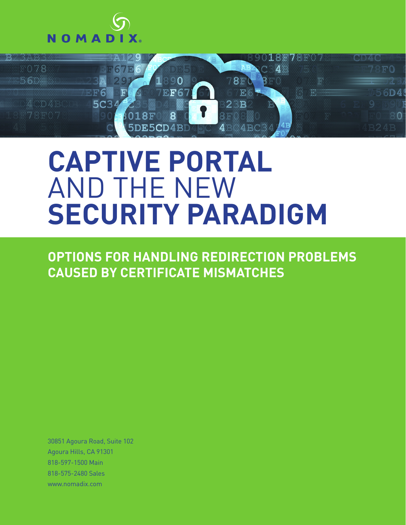



### **CAPTIVE PORTAL** AND THE NEW **SECURITY PARADIGM**

**OPTIONS FOR HANDLING REDIRECTION PROBLEMS CAUSED BY CERTIFICATE MISMATCHES**

30851 Agoura Road, Suite 102 Agoura Hills, CA 91301 818-597-1500 Main 818-575-2480 Sales www.nomadix.com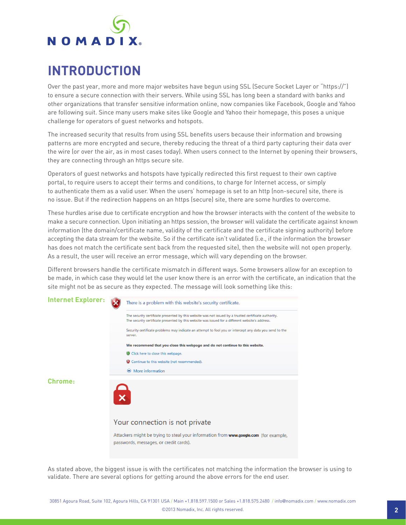## NOMADIX

#### **INTRODUCTION**

Over the past year, more and more major websites have begun using SSL (Secure Socket Layer or "https://") to ensure a secure connection with their servers. While using SSL has long been a standard with banks and other organizations that transfer sensitive information online, now companies like Facebook, Google and Yahoo are following suit. Since many users make sites like Google and Yahoo their homepage, this poses a unique challenge for operators of guest networks and hotspots.

The increased security that results from using SSL benefits users because their information and browsing patterns are more encrypted and secure, thereby reducing the threat of a third party capturing their data over the wire (or over the air, as in most cases today). When users connect to the Internet by opening their browsers, they are connecting through an https secure site.

Operators of guest networks and hotspots have typically redirected this first request to their own captive portal, to require users to accept their terms and conditions, to charge for Internet access, or simply to authenticate them as a valid user. When the users' homepage is set to an http (non-secure) site, there is no issue. But if the redirection happens on an https (secure) site, there are some hurdles to overcome.

These hurdles arise due to certificate encryption and how the browser interacts with the content of the website to make a secure connection. Upon initiating an https session, the browser will validate the certificate against known information (the domain/certificate name, validity of the certificate and the certificate signing authority) before accepting the data stream for the website. So if the certificate isn't validated (i.e., if the information the browser has does not match the certificate sent back from the requested site), then the website will not open properly. As a result, the user will receive an error message, which will vary depending on the browser.

Different browsers handle the certificate mismatch in different ways. Some browsers allow for an exception to be made, in which case they would let the user know there is an error with the certificate, an indication that the site might not be as secure as they expected. The message will look something like this:



As stated above, the biggest issue is with the certificates not matching the information the browser is using to validate. There are several options for getting around the above errors for the end user.